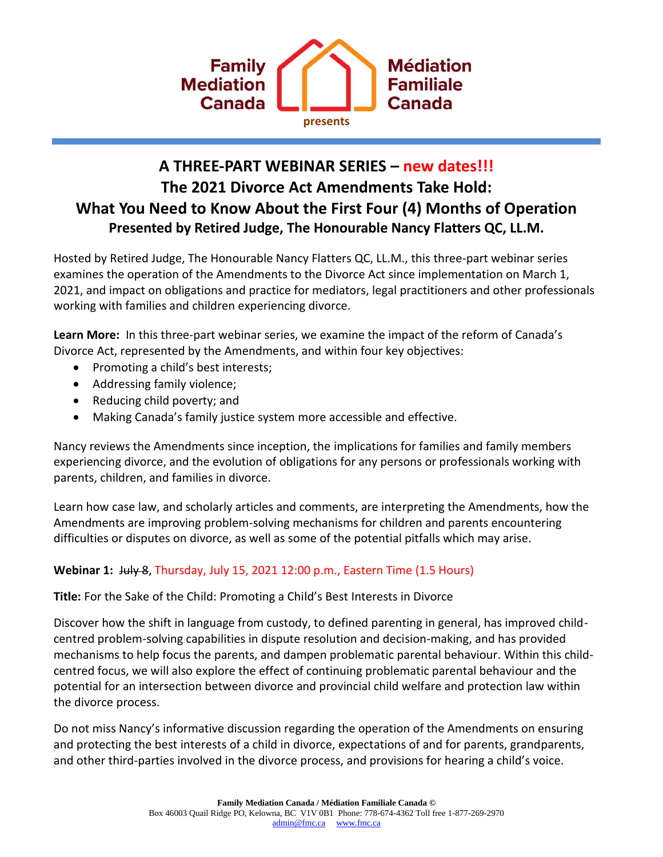

# **A THREE-PART WEBINAR SERIES – new dates!!! The 2021 Divorce Act Amendments Take Hold: What You Need to Know About the First Four (4) Months of Operation Presented by Retired Judge, The Honourable Nancy Flatters QC, LL.M.**

Hosted by Retired Judge, The Honourable Nancy Flatters QC, LL.M., this three-part webinar series examines the operation of the Amendments to the Divorce Act since implementation on March 1, 2021, and impact on obligations and practice for mediators, legal practitioners and other professionals working with families and children experiencing divorce.

**Learn More:** In this three-part webinar series, we examine the impact of the reform of Canada's Divorce Act, represented by the Amendments, and within four key objectives:

- Promoting a child's best interests;
- Addressing family violence;
- Reducing child poverty; and
- Making Canada's family justice system more accessible and effective.

Nancy reviews the Amendments since inception, the implications for families and family members experiencing divorce, and the evolution of obligations for any persons or professionals working with parents, children, and families in divorce.

Learn how case law, and scholarly articles and comments, are interpreting the Amendments, how the Amendments are improving problem-solving mechanisms for children and parents encountering difficulties or disputes on divorce, as well as some of the potential pitfalls which may arise.

### **Webinar 1:** July 8, Thursday, July 15, 2021 12:00 p.m., Eastern Time (1.5 Hours)

**Title:** For the Sake of the Child: Promoting a Child's Best Interests in Divorce

Discover how the shift in language from custody, to defined parenting in general, has improved childcentred problem-solving capabilities in dispute resolution and decision-making, and has provided mechanisms to help focus the parents, and dampen problematic parental behaviour. Within this childcentred focus, we will also explore the effect of continuing problematic parental behaviour and the potential for an intersection between divorce and provincial child welfare and protection law within the divorce process.

Do not miss Nancy's informative discussion regarding the operation of the Amendments on ensuring and protecting the best interests of a child in divorce, expectations of and for parents, grandparents, and other third-parties involved in the divorce process, and provisions for hearing a child's voice.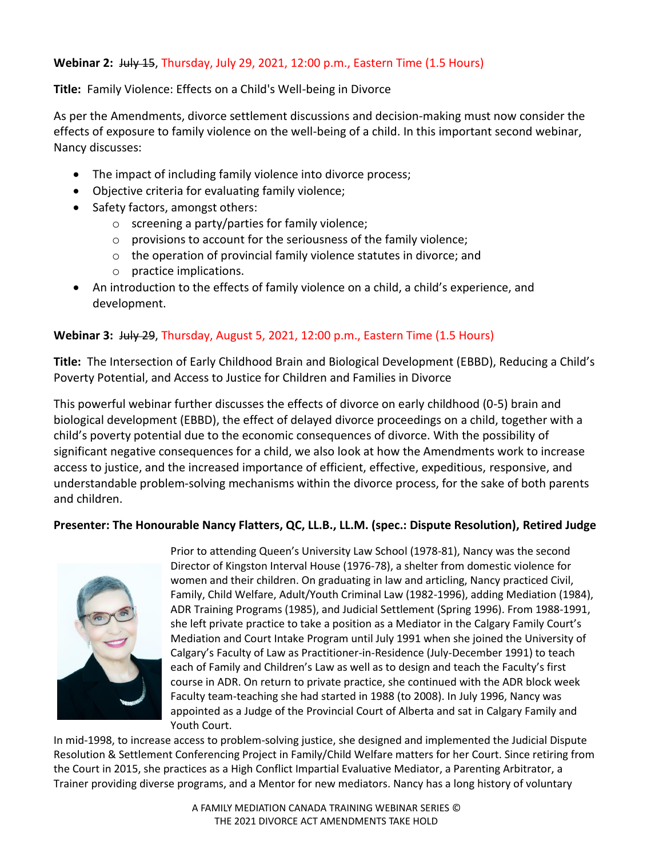#### **Webinar 2:** July 15, Thursday, July 29, 2021, 12:00 p.m., Eastern Time (1.5 Hours)

**Title:** Family Violence: Effects on a Child's Well-being in Divorce

As per the Amendments, divorce settlement discussions and decision-making must now consider the effects of exposure to family violence on the well-being of a child. In this important second webinar, Nancy discusses:

- The impact of including family violence into divorce process;
- Objective criteria for evaluating family violence;
- Safety factors, amongst others:
	- o screening a party/parties for family violence;
	- o provisions to account for the seriousness of the family violence;
	- o the operation of provincial family violence statutes in divorce; and
	- o practice implications.
- An introduction to the effects of family violence on a child, a child's experience, and development.

#### **Webinar 3:** July 29, Thursday, August 5, 2021, 12:00 p.m., Eastern Time (1.5 Hours)

**Title:** The Intersection of Early Childhood Brain and Biological Development (EBBD), Reducing a Child's Poverty Potential, and Access to Justice for Children and Families in Divorce

This powerful webinar further discusses the effects of divorce on early childhood (0-5) brain and biological development (EBBD), the effect of delayed divorce proceedings on a child, together with a child's poverty potential due to the economic consequences of divorce. With the possibility of significant negative consequences for a child, we also look at how the Amendments work to increase access to justice, and the increased importance of efficient, effective, expeditious, responsive, and understandable problem-solving mechanisms within the divorce process, for the sake of both parents and children.

#### **Presenter: The Honourable Nancy Flatters, QC, LL.B., LL.M. (spec.: Dispute Resolution), Retired Judge**



Prior to attending Queen's University Law School (1978-81), Nancy was the second Director of Kingston Interval House (1976-78), a shelter from domestic violence for women and their children. On graduating in law and articling, Nancy practiced Civil, Family, Child Welfare, Adult/Youth Criminal Law (1982-1996), adding Mediation (1984), ADR Training Programs (1985), and Judicial Settlement (Spring 1996). From 1988-1991, she left private practice to take a position as a Mediator in the Calgary Family Court's Mediation and Court Intake Program until July 1991 when she joined the University of Calgary's Faculty of Law as Practitioner-in-Residence (July-December 1991) to teach each of Family and Children's Law as well as to design and teach the Faculty's first course in ADR. On return to private practice, she continued with the ADR block week Faculty team-teaching she had started in 1988 (to 2008). In July 1996, Nancy was appointed as a Judge of the Provincial Court of Alberta and sat in Calgary Family and Youth Court.

In mid-1998, to increase access to problem-solving justice, she designed and implemented the Judicial Dispute Resolution & Settlement Conferencing Project in Family/Child Welfare matters for her Court. Since retiring from the Court in 2015, she practices as a High Conflict Impartial Evaluative Mediator, a Parenting Arbitrator, a Trainer providing diverse programs, and a Mentor for new mediators. Nancy has a long history of voluntary